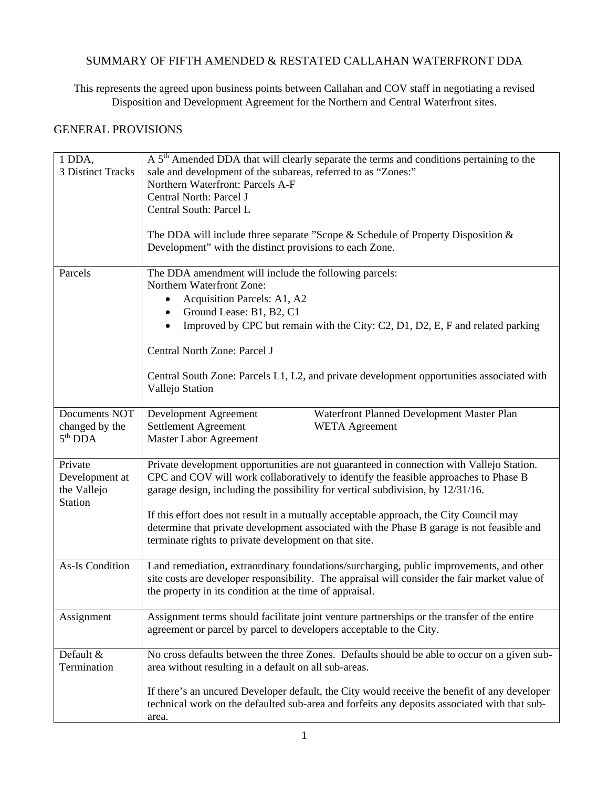## SUMMARY OF FIFTH AMENDED & RESTATED CALLAHAN WATERFRONT DDA

This represents the agreed upon business points between Callahan and COV staff in negotiating a revised Disposition and Development Agreement for the Northern and Central Waterfront sites.

## GENERAL PROVISIONS

| 1 DDA,<br>3 Distinct Tracks                                | A 5 <sup>th</sup> Amended DDA that will clearly separate the terms and conditions pertaining to the<br>sale and development of the subareas, referred to as "Zones:"<br>Northern Waterfront: Parcels A-F<br>Central North: Parcel J<br>Central South: Parcel L                                                                                                                                                                                                                                                      |
|------------------------------------------------------------|---------------------------------------------------------------------------------------------------------------------------------------------------------------------------------------------------------------------------------------------------------------------------------------------------------------------------------------------------------------------------------------------------------------------------------------------------------------------------------------------------------------------|
|                                                            | The DDA will include three separate "Scope $&$ Schedule of Property Disposition $&$<br>Development" with the distinct provisions to each Zone.                                                                                                                                                                                                                                                                                                                                                                      |
| Parcels                                                    | The DDA amendment will include the following parcels:<br>Northern Waterfront Zone:<br>Acquisition Parcels: A1, A2<br>Ground Lease: B1, B2, C1<br>Improved by CPC but remain with the City: C2, D1, D2, E, F and related parking<br>Central North Zone: Parcel J<br>Central South Zone: Parcels L1, L2, and private development opportunities associated with<br>Vallejo Station                                                                                                                                     |
| Documents NOT<br>changed by the<br>$5th$ DDA               | Development Agreement<br>Waterfront Planned Development Master Plan<br>Settlement Agreement<br><b>WETA</b> Agreement<br><b>Master Labor Agreement</b>                                                                                                                                                                                                                                                                                                                                                               |
| Private<br>Development at<br>the Vallejo<br><b>Station</b> | Private development opportunities are not guaranteed in connection with Vallejo Station.<br>CPC and COV will work collaboratively to identify the feasible approaches to Phase B<br>garage design, including the possibility for vertical subdivision, by 12/31/16.<br>If this effort does not result in a mutually acceptable approach, the City Council may<br>determine that private development associated with the Phase B garage is not feasible and<br>terminate rights to private development on that site. |
| <b>As-Is Condition</b>                                     | Land remediation, extraordinary foundations/surcharging, public improvements, and other<br>site costs are developer responsibility. The appraisal will consider the fair market value of<br>the property in its condition at the time of appraisal.                                                                                                                                                                                                                                                                 |
| Assignment                                                 | Assignment terms should facilitate joint venture partnerships or the transfer of the entire<br>agreement or parcel by parcel to developers acceptable to the City.                                                                                                                                                                                                                                                                                                                                                  |
| Default &<br>Termination                                   | No cross defaults between the three Zones. Defaults should be able to occur on a given sub-<br>area without resulting in a default on all sub-areas.                                                                                                                                                                                                                                                                                                                                                                |
|                                                            | If there's an uncured Developer default, the City would receive the benefit of any developer<br>technical work on the defaulted sub-area and forfeits any deposits associated with that sub-<br>area.                                                                                                                                                                                                                                                                                                               |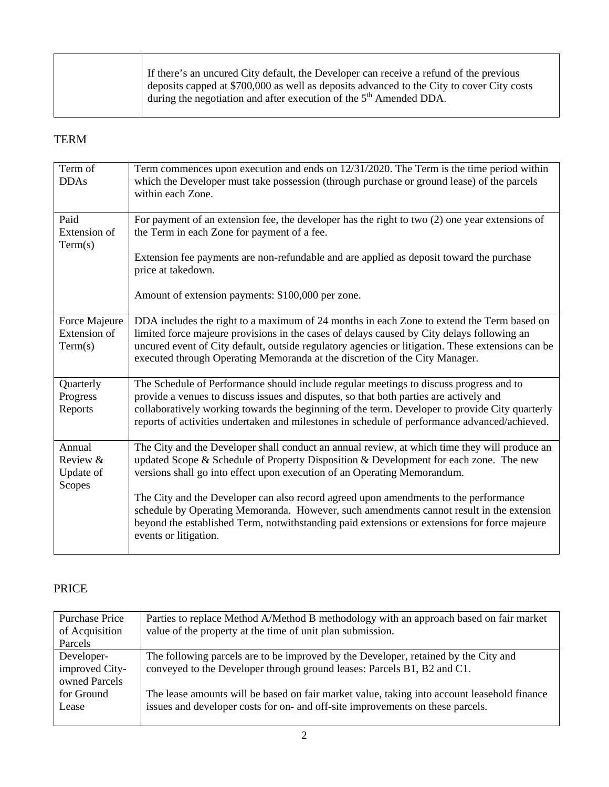| If there's an uncured City default, the Developer can receive a refund of the previous<br>deposits capped at \$700,000 as well as deposits advanced to the City to cover City costs |
|-------------------------------------------------------------------------------------------------------------------------------------------------------------------------------------|
| during the negotiation and after execution of the $5th$ Amended DDA.                                                                                                                |

## TERM

| Term commences upon execution and ends on 12/31/2020. The Term is the time period within<br>which the Developer must take possession (through purchase or ground lease) of the parcels                                                                                           |
|----------------------------------------------------------------------------------------------------------------------------------------------------------------------------------------------------------------------------------------------------------------------------------|
|                                                                                                                                                                                                                                                                                  |
| For payment of an extension fee, the developer has the right to two $(2)$ one year extensions of                                                                                                                                                                                 |
| Extension fee payments are non-refundable and are applied as deposit toward the purchase                                                                                                                                                                                         |
|                                                                                                                                                                                                                                                                                  |
| DDA includes the right to a maximum of 24 months in each Zone to extend the Term based on                                                                                                                                                                                        |
| limited force majeure provisions in the cases of delays caused by City delays following an                                                                                                                                                                                       |
| uncured event of City default, outside regulatory agencies or litigation. These extensions can be                                                                                                                                                                                |
| The Schedule of Performance should include regular meetings to discuss progress and to                                                                                                                                                                                           |
|                                                                                                                                                                                                                                                                                  |
| collaboratively working towards the beginning of the term. Developer to provide City quarterly<br>reports of activities undertaken and milestones in schedule of performance advanced/achieved.                                                                                  |
| The City and the Developer shall conduct an annual review, at which time they will produce an                                                                                                                                                                                    |
| updated Scope & Schedule of Property Disposition & Development for each zone. The new                                                                                                                                                                                            |
|                                                                                                                                                                                                                                                                                  |
| The City and the Developer can also record agreed upon amendments to the performance<br>schedule by Operating Memoranda. However, such amendments cannot result in the extension<br>beyond the established Term, notwithstanding paid extensions or extensions for force majeure |
|                                                                                                                                                                                                                                                                                  |

## PRICE

| Purchase Price                                | Parties to replace Method A/Method B methodology with an approach based on fair market                                                                         |
|-----------------------------------------------|----------------------------------------------------------------------------------------------------------------------------------------------------------------|
| of Acquisition                                | value of the property at the time of unit plan submission.                                                                                                     |
| Parcels                                       |                                                                                                                                                                |
| Developer-<br>improved City-<br>owned Parcels | The following parcels are to be improved by the Developer, retained by the City and<br>conveyed to the Developer through ground leases: Parcels B1, B2 and C1. |
| for Ground                                    | The lease amounts will be based on fair market value, taking into account leasehold finance                                                                    |
| Lease                                         | issues and developer costs for on- and off-site improvements on these parcels.                                                                                 |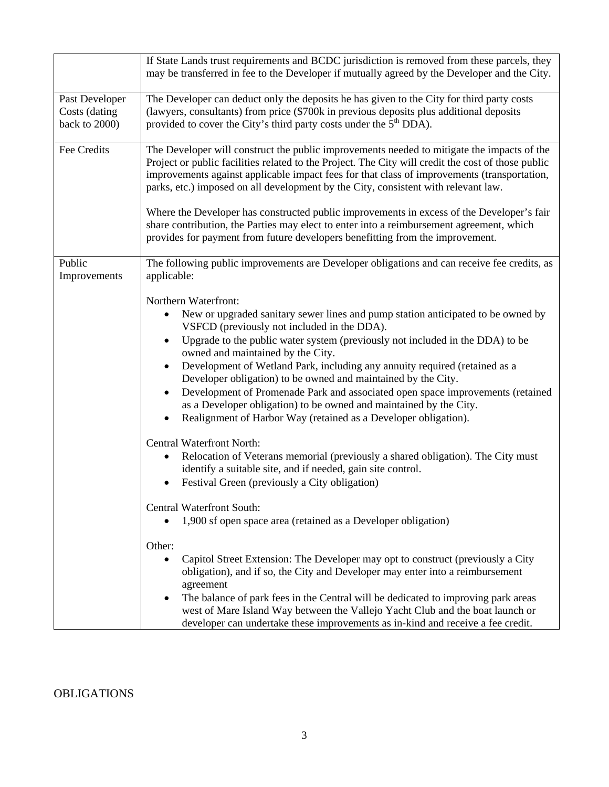|                                                  | If State Lands trust requirements and BCDC jurisdiction is removed from these parcels, they<br>may be transferred in fee to the Developer if mutually agreed by the Developer and the City.                                                                                                                                                                                                                                                                                                                                                                                                                                                                                                                                |
|--------------------------------------------------|----------------------------------------------------------------------------------------------------------------------------------------------------------------------------------------------------------------------------------------------------------------------------------------------------------------------------------------------------------------------------------------------------------------------------------------------------------------------------------------------------------------------------------------------------------------------------------------------------------------------------------------------------------------------------------------------------------------------------|
| Past Developer<br>Costs (dating<br>back to 2000) | The Developer can deduct only the deposits he has given to the City for third party costs<br>(lawyers, consultants) from price (\$700k in previous deposits plus additional deposits<br>provided to cover the City's third party costs under the 5 <sup>th</sup> DDA).                                                                                                                                                                                                                                                                                                                                                                                                                                                     |
| Fee Credits                                      | The Developer will construct the public improvements needed to mitigate the impacts of the<br>Project or public facilities related to the Project. The City will credit the cost of those public<br>improvements against applicable impact fees for that class of improvements (transportation,<br>parks, etc.) imposed on all development by the City, consistent with relevant law.<br>Where the Developer has constructed public improvements in excess of the Developer's fair                                                                                                                                                                                                                                         |
|                                                  | share contribution, the Parties may elect to enter into a reimbursement agreement, which<br>provides for payment from future developers benefitting from the improvement.                                                                                                                                                                                                                                                                                                                                                                                                                                                                                                                                                  |
| Public<br>Improvements                           | The following public improvements are Developer obligations and can receive fee credits, as<br>applicable:                                                                                                                                                                                                                                                                                                                                                                                                                                                                                                                                                                                                                 |
|                                                  | Northern Waterfront:<br>New or upgraded sanitary sewer lines and pump station anticipated to be owned by<br>٠<br>VSFCD (previously not included in the DDA).<br>Upgrade to the public water system (previously not included in the DDA) to be<br>$\bullet$<br>owned and maintained by the City.<br>Development of Wetland Park, including any annuity required (retained as a<br>Developer obligation) to be owned and maintained by the City.<br>Development of Promenade Park and associated open space improvements (retained<br>$\bullet$<br>as a Developer obligation) to be owned and maintained by the City.<br>Realignment of Harbor Way (retained as a Developer obligation).<br><b>Central Waterfront North:</b> |
|                                                  | Relocation of Veterans memorial (previously a shared obligation). The City must<br>٠<br>identify a suitable site, and if needed, gain site control.<br>Festival Green (previously a City obligation)                                                                                                                                                                                                                                                                                                                                                                                                                                                                                                                       |
|                                                  | Central Waterfront South:<br>1,900 sf open space area (retained as a Developer obligation)                                                                                                                                                                                                                                                                                                                                                                                                                                                                                                                                                                                                                                 |
|                                                  | Other:<br>Capitol Street Extension: The Developer may opt to construct (previously a City<br>$\bullet$<br>obligation), and if so, the City and Developer may enter into a reimbursement<br>agreement<br>The balance of park fees in the Central will be dedicated to improving park areas<br>$\bullet$<br>west of Mare Island Way between the Vallejo Yacht Club and the boat launch or<br>developer can undertake these improvements as in-kind and receive a fee credit.                                                                                                                                                                                                                                                 |

**OBLIGATIONS**